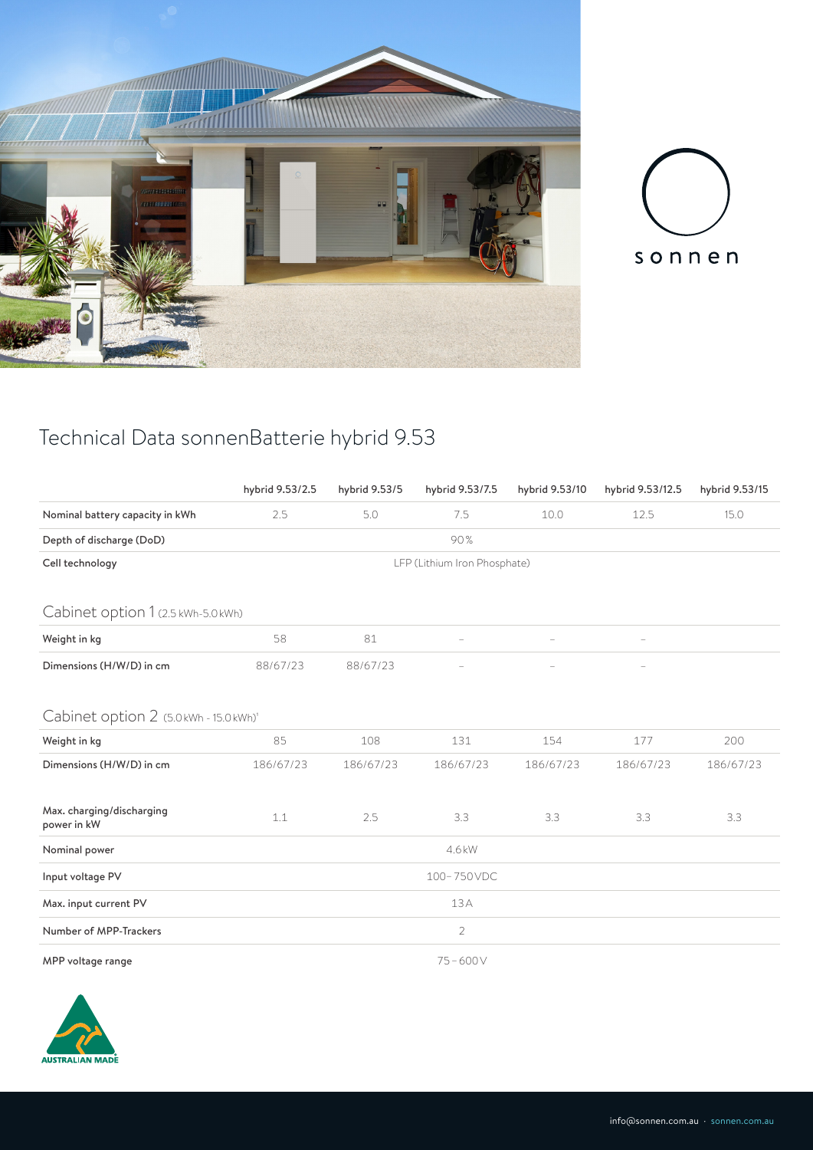



## Technical Data sonnenBatterie hybrid 9.53

|                                          | hybrid 9.53/2.5 | hybrid 9.53/5                | hybrid 9.53/7.5          | hybrid 9.53/10 | hybrid 9.53/12.5         | hybrid 9.53/15 |  |  |  |  |  |
|------------------------------------------|-----------------|------------------------------|--------------------------|----------------|--------------------------|----------------|--|--|--|--|--|
| Nominal battery capacity in kWh          | 2.5             | 5.0                          | 7.5                      | 10.0           | 12.5                     | 15.0           |  |  |  |  |  |
| Depth of discharge (DoD)                 | 90%             |                              |                          |                |                          |                |  |  |  |  |  |
| Cell technology                          |                 | LFP (Lithium Iron Phosphate) |                          |                |                          |                |  |  |  |  |  |
| Cabinet option 1 (2.5 kWh-5.0 kWh)       |                 |                              |                          |                |                          |                |  |  |  |  |  |
| Weight in kg                             | 58              | 81                           | $\overline{\phantom{a}}$ | $\equiv$       | $\overline{\phantom{m}}$ |                |  |  |  |  |  |
| Dimensions (H/W/D) in cm                 | 88/67/23        | 88/67/23                     |                          |                | $\overline{\phantom{a}}$ |                |  |  |  |  |  |
| Cabinet option 2 (5.0 kWh - 15.0 kWh)'   |                 |                              |                          |                |                          |                |  |  |  |  |  |
| Weight in kg                             | 85              | 108                          | 131                      | 154            | 177                      | 200            |  |  |  |  |  |
| Dimensions (H/W/D) in cm                 | 186/67/23       | 186/67/23                    | 186/67/23                | 186/67/23      | 186/67/23                | 186/67/23      |  |  |  |  |  |
| Max. charging/discharging<br>power in kW | 1.1             | 2.5                          | 3.3                      | 3.3            | 3.3                      | 3.3            |  |  |  |  |  |
| Nominal power                            | 4.6 kW          |                              |                          |                |                          |                |  |  |  |  |  |
| Input voltage PV                         | 100-750VDC      |                              |                          |                |                          |                |  |  |  |  |  |
| Max. input current PV                    | 13A             |                              |                          |                |                          |                |  |  |  |  |  |
| Number of MPP-Trackers                   | $\sqrt{2}$      |                              |                          |                |                          |                |  |  |  |  |  |
| MPP voltage range                        | $75 - 600V$     |                              |                          |                |                          |                |  |  |  |  |  |